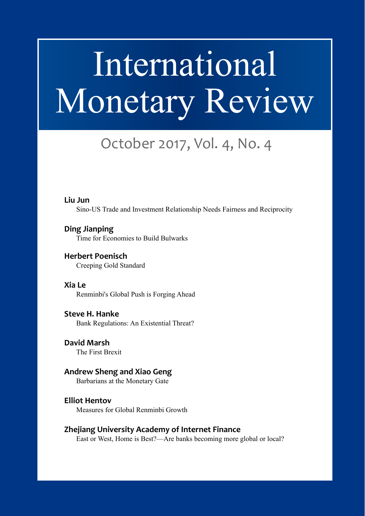# International Monetary Review

Volume 1, Number 1

# October 2017, Vol. 4, No. 4

#### **Liu Jun**

Sino-US Trade and Investment Relationship Needs Fairness and Reciprocity

**Ding Jianping** Time for Economies to Build Bulwarks

**Herbert Poenisch** Creeping Gold Standard

**Xia Le** Renminbi's Global Push is Forging Ahead

**Steve H. Hanke** Bank Regulations: An Existential Threat?

**David Marsh** The First Brexit

#### **Andrew Sheng and Xiao Geng** Barbarians at the Monetary Gate

**Elliot Hentov** Measures for Global Renminbi Growth

#### **Zhejiang University Academy of Internet Finance**

East or West, Home is Best?—Are banks becoming more global or local?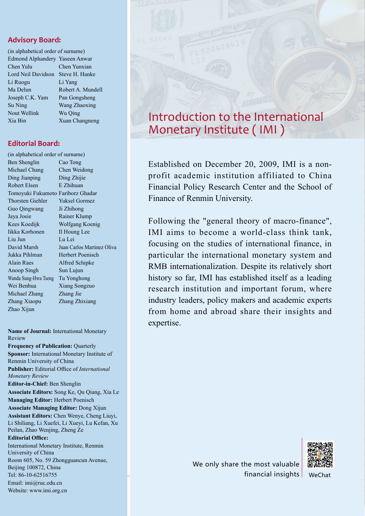#### **Advisory Board:**

| (in alphabetical order of surname) |                   |
|------------------------------------|-------------------|
| Edmond Alphandery Yaseen Anwar     |                   |
| Chen Yulu                          | Chen Yunxian      |
| Lord Neil Davidson                 | Steve H. Hanke    |
| Li Ruogu                           | Li Yang           |
| Ma Delun                           | Robert A. Mundell |
| Joseph C.K. Yam                    | Pan Gongsheng     |
| Su Ning                            | Wang Zhaoxing     |
| Nout Wellink                       | Wu Oing           |
| Xia Bin                            | Xuan Changneng    |
|                                    |                   |

**Editorial Board:** 

| (in alphabetical order of surname) |                            |
|------------------------------------|----------------------------|
| Ben Shenglin                       | Cao Tong                   |
| Michael Chang                      | Chen Weidong               |
| Ding Jianping                      | Ding Zhijie                |
| Robert Elsen                       | E Zhihuan                  |
| Tomoyuki Fukumoto Fariborz Ghadar  |                            |
| <b>Thorsten Giehler</b>            | <b>Yuksel Gormez</b>       |
| Guo Qingwang                       | Ji Zhihong                 |
| Jaya Josie                         | Rainer Klump               |
| Kees Koedijk                       | Wolfgang Koenig            |
| Iikka Korhonen                     | Il Houng Lee               |
| Liu Jun                            | Lu Lei                     |
| David Marsh                        | Juan Carlos Martinez Oliva |
| Jukka Pihlman                      | Herbert Poenisch           |
| <b>Alain Raes</b>                  | Alfred Schipke             |
| Anoop Singh                        | Sun Lujun                  |
| Wanda Sung-Hwa Tseng               | Tu Yonghong                |
| Wei Benhua                         | Xiang Songzuo              |
| Michael Zhang                      | Zhang Jie                  |
| Zhang Xiaopu                       | Zhang Zhixiang             |
| Zhao Xijun                         |                            |
|                                    |                            |

**Name of Journal:** International Monetary Review

**Frequency of Publication: Quarterly Sponsor:** International Monetary Institute of Renmin University of China **Publisher:** Editorial Office of *International Monetary Review* **Editor-in-Chief:** Ben Shenglin **Associate Editors:** Song Ke, Qu Qiang, Xia Le **Managing Editor:** Herbert Poenisch **Associate Managing Editor:** Dong Xijun **Assistant Editors:** Chen Wenye, Cheng Liuyi, Li Shiliang, Li Xuefei, Li Xueyi, Lu Kefan, Xu Peilan, Zhao Wenjing, Zheng Ze **Editorial Office:** International Monetary Institute, Renmin University of China Room 605, No. 59 Zhongguancun Avenue, Beijing 100872, China Tel: 86-10-62516755

Email: imi@ruc.edu.cn Website: www.imi.org.cn



Established on December 20, 2009, IMI is a nonprofit academic institution affiliated to China Financial Policy Research Center and the School of Finance of Renmin University.

Following the "general theory of macro-finance", IMI aims to become a world-class think tank, focusing on the studies of international finance, in particular the international monetary system and RMB internationalization. Despite its relatively short history so far, IMI has established itself as a leading research institution and important forum, where industry leaders, policy makers and academic experts from home and abroad share their insights and expertise.

> We only share the most valuable financial insights | WeChat

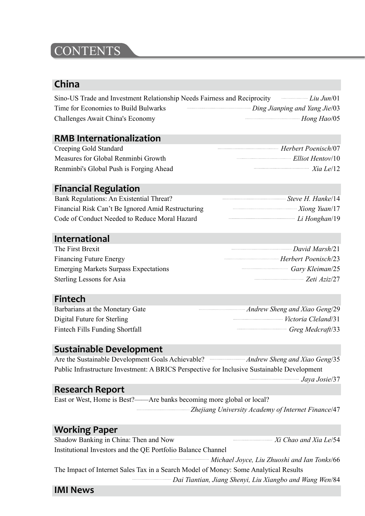### **CONTENTS**

#### **China**

| Sino-US Trade and Investment Relationship Needs Fairness and Reciprocity |                                      | $Liu$ Jun/01 |
|--------------------------------------------------------------------------|--------------------------------------|--------------|
| Time for Economies to Build Bulwarks                                     | <i>Ding Jianping and Yang Jie/03</i> |              |
| Challenges Await China's Economy                                         |                                      | Hong Hao/05  |

#### **RMB Internationalization**

| Creeping Gold Standard                  | Herbert Poenisch/07                                                                                                                                                                                                                                                                                                                                                                  |
|-----------------------------------------|--------------------------------------------------------------------------------------------------------------------------------------------------------------------------------------------------------------------------------------------------------------------------------------------------------------------------------------------------------------------------------------|
| Measures for Global Renminbi Growth     | $Elliot \, Hentov/10$                                                                                                                                                                                                                                                                                                                                                                |
| Renminbi's Global Push is Forging Ahead | $\overline{X}$ $\overline{I}$ $\overline{e}$ $\overline{I}$ $\overline{e}$ $\overline{I}$ $\overline{e}$ $\overline{I}$ $\overline{e}$ $\overline{I}$ $\overline{e}$ $\overline{I}$ $\overline{e}$ $\overline{I}$ $\overline{e}$ $\overline{I}$ $\overline{e}$ $\overline{I}$ $\overline{e}$ $\overline{I}$ $\overline{e}$ $\overline{I}$ $\overline{e}$ $\overline{I}$ $\overline{$ |

#### **Financial Regulation**

| Bank Regulations: An Existential Threat?           | Steve H. Hankel 14 |
|----------------------------------------------------|--------------------|
| Financial Risk Can't Be Ignored Amid Restructuring | Xiong Yuan/17      |
| Code of Conduct Needed to Reduce Moral Hazard      | $Li$ Honghan/19    |

#### **International**

| The First Brexit                             | $David \, Marshall$ |
|----------------------------------------------|---------------------|
| <b>Financing Future Energy</b>               | Herbert Poenisch/23 |
| <b>Emerging Markets Surpass Expectations</b> | Gary Kleiman/25     |
| Sterling Lessons for Asia                    | Zeti Aziz/27        |

#### **Fintech**

| Barbarians at the Monetary Gate | Andrew Sheng and Xiao Geng/29 |
|---------------------------------|-------------------------------|
| Digital Future for Sterling     | Victoria Cleland/31           |
| Fintech Fills Funding Shortfall | Greg Medcraft/33              |

#### **Sustainable Development**

Are the Sustainable Development Goals Achievable? *Andrew Sheng and Xiao Geng*/35 Public Infrastructure Investment: A BRICS Perspective for Inclusive Sustainable Development

*Jaya Josie*/37

#### **Research Report**

East or West, Home is Best?——Are banks becoming more global or local? *Zhejiang University Academy of Internet Finance*/47

#### **Working Paper**

Shadow Banking in China: Then and Now *Xi Chao and Xia Le/54* Institutional Investors and the QE Portfolio Balance Channel *Michael Joyce, Liu Zhuoshi and Ian Tonks*/66

3 *Dai Tiantian, Jiang Shenyi, Liu Xiangbo and Wang Wen*/84 The Impact of Internet Sales Tax in a Search Model of Money: Some Analytical Results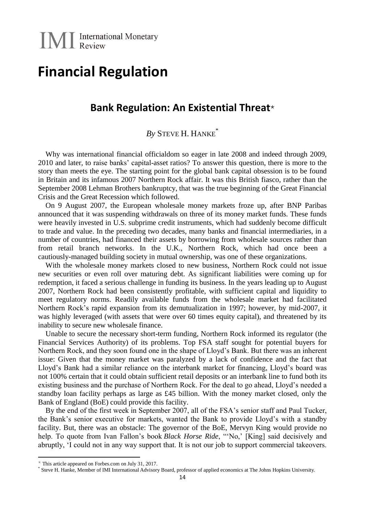## **Financial Regulation**

#### **Bank Regulation: An Existential Threat**

#### *By* STEVE H. HANKE\*

Why was international financial officialdom so eager in late 2008 and indeed through 2009, 2010 and later, to raise banks' capital-asset ratios? To answer this question, there is more to the story than meets the eye. The starting point for the global bank capital obsession is to be found in Britain and its infamous 2007 Northern Rock affair. It was this British fiasco, rather than the September 2008 Lehman Brothers bankruptcy, that was the true beginning of the Great Financial Crisis and the Great Recession which followed.

On 9 August 2007, the European wholesale money markets froze up, after BNP Paribas announced that it was suspending withdrawals on three of its money market funds. These funds were heavily invested in U.S. subprime credit instruments, which had suddenly become difficult to trade and value. In the preceding two decades, many banks and financial intermediaries, in a number of countries, had financed their assets by borrowing from wholesale sources rather than from retail branch networks. In the U.K., Northern Rock, which had once been a cautiously-managed building society in mutual ownership, was one of these organizations.

With the wholesale money markets closed to new business, Northern Rock could not issue new securities or even roll over maturing debt. As significant liabilities were coming up for redemption, it faced a serious challenge in funding its business. In the years leading up to August 2007, Northern Rock had been consistently profitable, with sufficient capital and liquidity to meet regulatory norms. Readily available funds from the wholesale market had facilitated Northern Rock's rapid expansion from its demutualization in 1997; however, by mid-2007, it was highly leveraged (with assets that were over 60 times equity capital), and threatened by its inability to secure new wholesale finance.

Unable to secure the necessary short-term funding, Northern Rock informed its regulator (the Financial Services Authority) of its problems. Top FSA staff sought for potential buyers for Northern Rock, and they soon found one in the shape of Lloyd's Bank. But there was an inherent issue: Given that the money market was paralyzed by a lack of confidence and the fact that Lloyd's Bank had a similar reliance on the interbank market for financing, Lloyd's board was not 100% certain that it could obtain sufficient retail deposits or an interbank line to fund both its existing business and the purchase of Northern Rock. For the deal to go ahead, Lloyd's needed a standby loan facility perhaps as large as £45 billion. With the money market closed, only the Bank of England (BoE) could provide this facility.

By the end of the first week in September 2007, all of the FSA's senior staff and Paul Tucker, the Bank's senior executive for markets, wanted the Bank to provide Lloyd's with a standby facility. But, there was an obstacle: The governor of the BoE, Mervyn King would provide no help. To quote from Ivan Fallon's book *Black Horse Ride*, "'No,' [King] said decisively and abruptly, 'I could not in any way support that. It is not our job to support commercial takeovers.

 $\overline{a}$ 

 $*$  This article appeared on Forbes.com on July 31, 2017.

<sup>\*</sup> Steve H. Hanke, Member of IMI International Advisory Board, professor of applied economics at The Johns Hopkins University.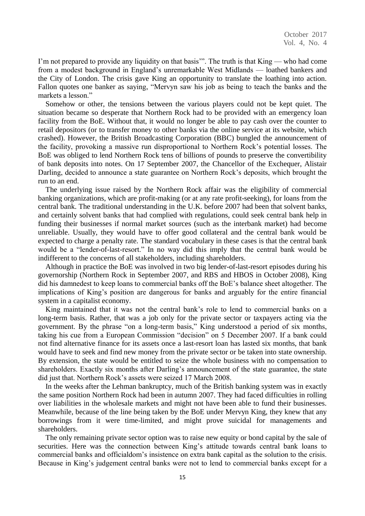I'm not prepared to provide any liquidity on that basis". The truth is that King — who had come from a modest background in England's unremarkable West Midlands — loathed bankers and the City of London. The crisis gave King an opportunity to translate the loathing into action. Fallon quotes one banker as saying, "Mervyn saw his job as being to teach the banks and the markets a lesson"

Somehow or other, the tensions between the various players could not be kept quiet. The situation became so desperate that Northern Rock had to be provided with an emergency loan facility from the BoE. Without that, it would no longer be able to pay cash over the counter to retail depositors (or to transfer money to other banks via the online service at its website, which crashed). However, the British Broadcasting Corporation (BBC) bungled the announcement of the facility, provoking a massive run disproportional to Northern Rock's potential losses. The BoE was obliged to lend Northern Rock tens of billions of pounds to preserve the convertibility of bank deposits into notes. On 17 September 2007, the Chancellor of the Exchequer, Alistair Darling, decided to announce a state guarantee on Northern Rock's deposits, which brought the run to an end.

The underlying issue raised by the Northern Rock affair was the eligibility of commercial banking organizations, which are profit-making (or at any rate profit-seeking), for loans from the central bank. The traditional understanding in the U.K. before 2007 had been that solvent banks, and certainly solvent banks that had complied with regulations, could seek central bank help in funding their businesses if normal market sources (such as the interbank market) had become unreliable. Usually, they would have to offer good collateral and the central bank would be expected to charge a penalty rate. The standard vocabulary in these cases is that the central bank would be a "lender-of-last-resort." In no way did this imply that the central bank would be indifferent to the concerns of all stakeholders, including shareholders.

Although in practice the BoE was involved in two big lender-of-last-resort episodes during his governorship (Northern Rock in September 2007, and RBS and HBOS in October 2008), King did his damnedest to keep loans to commercial banks off the BoE's balance sheet altogether. The implications of King's position are dangerous for banks and arguably for the entire financial system in a capitalist economy.

King maintained that it was not the central bank's role to lend to commercial banks on a long-term basis. Rather, that was a job only for the private sector or taxpayers acting via the government. By the phrase "on a long-term basis," King understood a period of six months, taking his cue from a European Commission "decision" on 5 December 2007. If a bank could not find alternative finance for its assets once a last-resort loan has lasted six months, that bank would have to seek and find new money from the private sector or be taken into state ownership. By extension, the state would be entitled to seize the whole business with no compensation to shareholders. Exactly six months after Darling's announcement of the state guarantee, the state did just that. Northern Rock's assets were seized 17 March 2008.

In the weeks after the Lehman bankruptcy, much of the British banking system was in exactly the same position Northern Rock had been in autumn 2007. They had faced difficulties in rolling over liabilities in the wholesale markets and might not have been able to fund their businesses. Meanwhile, because of the line being taken by the BoE under Mervyn King, they knew that any borrowings from it were time-limited, and might prove suicidal for managements and shareholders.

The only remaining private sector option was to raise new equity or bond capital by the sale of securities. Here was the connection between King's attitude towards central bank loans to commercial banks and officialdom's insistence on extra bank capital as the solution to the crisis. Because in King's judgement central banks were not to lend to commercial banks except for a